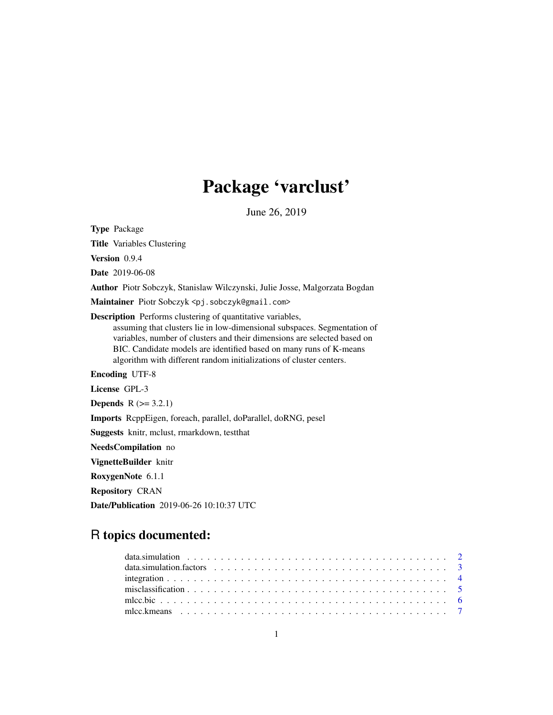## Package 'varclust'

June 26, 2019

Type Package

Title Variables Clustering

Version 0.9.4

Date 2019-06-08

Author Piotr Sobczyk, Stanislaw Wilczynski, Julie Josse, Malgorzata Bogdan

Maintainer Piotr Sobczyk <pj.sobczyk@gmail.com>

Description Performs clustering of quantitative variables, assuming that clusters lie in low-dimensional subspaces. Segmentation of variables, number of clusters and their dimensions are selected based on BIC. Candidate models are identified based on many runs of K-means algorithm with different random initializations of cluster centers.

Encoding UTF-8

License GPL-3

**Depends**  $R (= 3.2.1)$ 

Imports RcppEigen, foreach, parallel, doParallel, doRNG, pesel

Suggests knitr, mclust, rmarkdown, testthat

NeedsCompilation no

VignetteBuilder knitr

RoxygenNote 6.1.1

Repository CRAN

Date/Publication 2019-06-26 10:10:37 UTC

### R topics documented: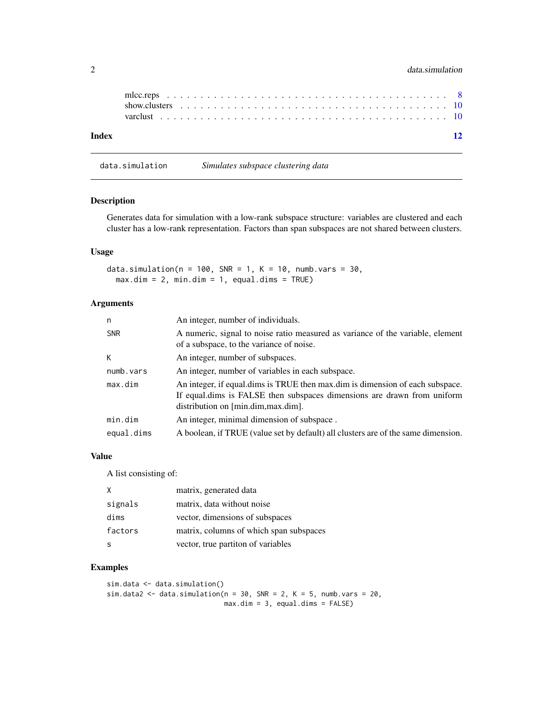#### <span id="page-1-0"></span>2 data.simulation

| Index |  |  |  |  |  |  |  |  |  |  |  |  |  |  |  |  |  |  |  |  | 12 |
|-------|--|--|--|--|--|--|--|--|--|--|--|--|--|--|--|--|--|--|--|--|----|
|       |  |  |  |  |  |  |  |  |  |  |  |  |  |  |  |  |  |  |  |  |    |

<span id="page-1-1"></span>data.simulation *Simulates subspace clustering data*

#### Description

Generates data for simulation with a low-rank subspace structure: variables are clustered and each cluster has a low-rank representation. Factors than span subspaces are not shared between clusters.

#### Usage

data.simulation( $n = 100$ , SNR = 1, K = 10, numb.vars = 30,  $max.dim = 2$ ,  $min.dim = 1$ ,  $equal.dim = TRUE)$ 

#### Arguments

| n          | An integer, number of individuals.                                                                                                                                                              |
|------------|-------------------------------------------------------------------------------------------------------------------------------------------------------------------------------------------------|
| <b>SNR</b> | A numeric, signal to noise ratio measured as variance of the variable, element<br>of a subspace, to the variance of noise.                                                                      |
| K          | An integer, number of subspaces.                                                                                                                                                                |
| numb.vars  | An integer, number of variables in each subspace.                                                                                                                                               |
| max.dim    | An integer, if equal dims is TRUE then max dim is dimension of each subspace.<br>If equal dime is FALSE then subspaces dimensions are drawn from uniform<br>distribution on [min.dim, max.dim]. |
| min.dim    | An integer, minimal dimension of subspace.                                                                                                                                                      |
| equal.dims | A boolean, if TRUE (value set by default) all clusters are of the same dimension.                                                                                                               |

#### Value

A list consisting of:

|         | matrix, generated data                  |
|---------|-----------------------------------------|
| signals | matrix, data without noise              |
| dims    | vector, dimensions of subspaces         |
| factors | matrix, columns of which span subspaces |
|         | vector, true partition of variables     |

```
sim.data <- data.simulation()
sim.data2 <- data.simulation(n = 30, SNR = 2, K = 5, numb.vars = 20,
                            max.dim = 3, equal.dims = FALSE)
```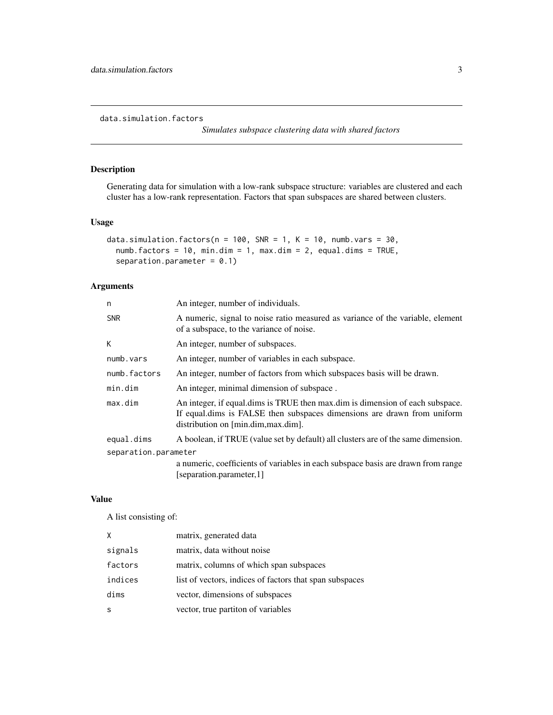<span id="page-2-1"></span><span id="page-2-0"></span>data.simulation.factors

*Simulates subspace clustering data with shared factors*

#### Description

Generating data for simulation with a low-rank subspace structure: variables are clustered and each cluster has a low-rank representation. Factors that span subspaces are shared between clusters.

#### Usage

```
data.simulation.factors(n = 100, SNR = 1, K = 10, numb.vars = 30,
 numb.factors = 10, min.dim = 1, max.dim = 2, equal.dims = TRUE,
  separation.parameter = 0.1)
```
#### Arguments

| n                    | An integer, number of individuals.                                                                                                                                                              |
|----------------------|-------------------------------------------------------------------------------------------------------------------------------------------------------------------------------------------------|
| <b>SNR</b>           | A numeric, signal to noise ratio measured as variance of the variable, element<br>of a subspace, to the variance of noise.                                                                      |
| К                    | An integer, number of subspaces.                                                                                                                                                                |
| numb.vars            | An integer, number of variables in each subspace.                                                                                                                                               |
| numb.factors         | An integer, number of factors from which subspaces basis will be drawn.                                                                                                                         |
| min.dim              | An integer, minimal dimension of subspace.                                                                                                                                                      |
| max.dim              | An integer, if equal dims is TRUE then max dim is dimension of each subspace.<br>If equal dime is FALSE then subspaces dimensions are drawn from uniform<br>distribution on [min.dim, max.dim]. |
| equal.dims           | A boolean, if TRUE (value set by default) all clusters are of the same dimension.                                                                                                               |
| separation.parameter |                                                                                                                                                                                                 |
|                      | a numeric, coefficients of variables in each subspace basis are drawn from range<br>[separation.parameter,1]                                                                                    |

#### Value

A list consisting of:

| X       | matrix, generated data                                  |
|---------|---------------------------------------------------------|
| signals | matrix, data without noise                              |
| factors | matrix, columns of which span subspaces                 |
| indices | list of vectors, indices of factors that span subspaces |
| dims    | vector, dimensions of subspaces                         |
| S       | vector, true partiton of variables                      |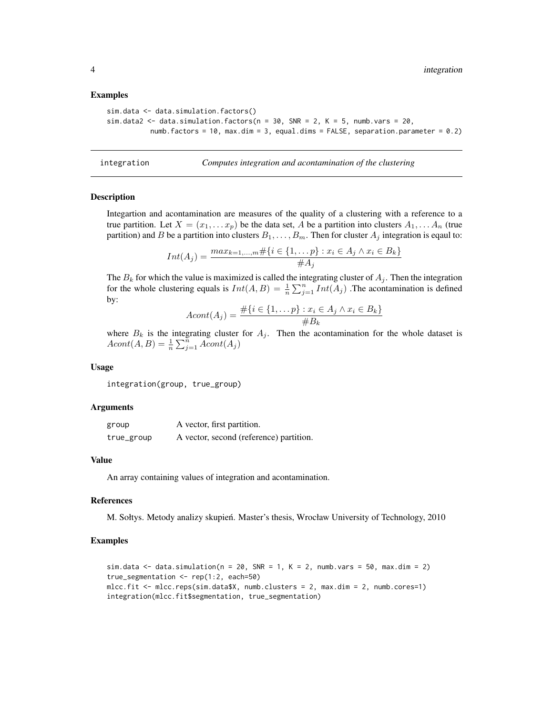#### Examples

```
sim.data <- data.simulation.factors()
sim.data2 \le data.simulation.factors(n = 30, SNR = 2, K = 5, numb.vars = 20,
          numb.factors = 10, max.dim = 3, equal.dims = FALSE, separation.parameter = 0.2)
```
<span id="page-3-1"></span>integration *Computes integration and acontamination of the clustering*

#### **Description**

Integartion and acontamination are measures of the quality of a clustering with a reference to a true partition. Let  $X = (x_1, \ldots, x_p)$  be the data set, A be a partition into clusters  $A_1, \ldots, A_n$  (true partition) and B be a partition into clusters  $B_1, \ldots, B_m$ . Then for cluster  $A_j$  integration is eqaul to:

$$
Int(A_j) = \frac{\max_{k=1,\dots,m} \# \{ i \in \{1,\dots,p\} : x_i \in A_j \land x_i \in B_k \}}{\# A_j}
$$

The  $B_k$  for which the value is maximized is called the integrating cluster of  $A_j$ . Then the integration for the whole clustering equals is  $Int(A, B) = \frac{1}{n} \sum_{j=1}^{n} Int(A_j)$ . The acontamination is defined by:

$$
Acont(A_j) = \frac{\#\{i \in \{1, \dots p\} : x_i \in A_j \land x_i \in B_k\}}{\#B_k}
$$

where  $B_k$  is the integrating cluster for  $A_j$ . Then the acontamination for the whole dataset is  $Acont(A, B) = \frac{1}{n} \sum_{j=1}^{n} Acont(A_j)$ 

#### Usage

integration(group, true\_group)

#### Arguments

| group      | A vector, first partition.              |
|------------|-----------------------------------------|
| true_group | A vector, second (reference) partition. |

#### Value

An array containing values of integration and acontamination.

#### References

M. Sołtys. Metody analizy skupień. Master's thesis, Wrocław University of Technology, 2010

```
sim.data \le - data.simulation(n = 20, SNR = 1, K = 2, numb.vars = 50, max.dim = 2)
true_segmentation <- rep(1:2, each=50)
mlcc.fit <- mlcc.reps(sim.data$X, numb.clusters = 2, max.dim = 2, numb.cores=1)
integration(mlcc.fit$segmentation, true_segmentation)
```
<span id="page-3-0"></span>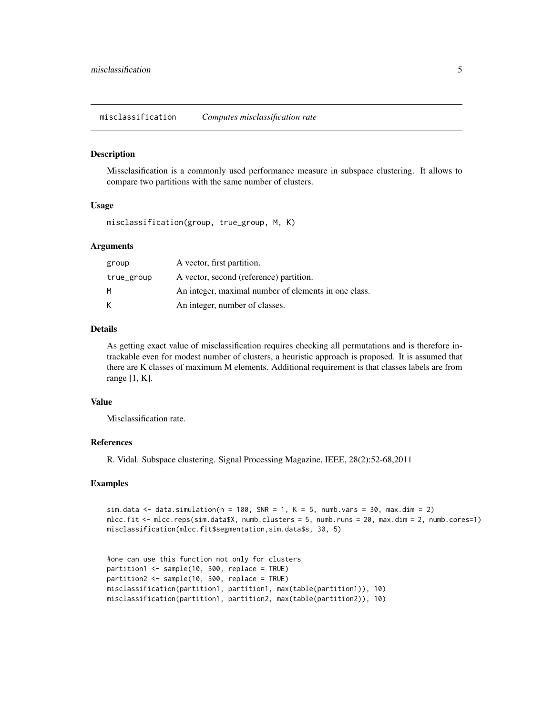<span id="page-4-1"></span><span id="page-4-0"></span>misclassification *Computes misclassification rate*

#### Description

Missclasification is a commonly used performance measure in subspace clustering. It allows to compare two partitions with the same number of clusters.

#### Usage

misclassification(group, true\_group, M, K)

#### Arguments

| group      | A vector, first partition.                           |
|------------|------------------------------------------------------|
| true_group | A vector, second (reference) partition.              |
| M          | An integer, maximal number of elements in one class. |
| К          | An integer, number of classes.                       |

#### Details

As getting exact value of misclassification requires checking all permutations and is therefore intrackable even for modest number of clusters, a heuristic approach is proposed. It is assumed that there are K classes of maximum M elements. Additional requirement is that classes labels are from range [1, K].

#### Value

Misclassification rate.

#### References

R. Vidal. Subspace clustering. Signal Processing Magazine, IEEE, 28(2):52-68,2011

```
sim.data \leq data.simulation(n = 100, SNR = 1, K = 5, numb.vars = 30, max.dim = 2)
mlcc.fit <- mlcc.reps(sim.data$X, numb.clusters = 5, numb.runs = 20, max.dim = 2, numb.cores=1)
misclassification(mlcc.fit$segmentation,sim.data$s, 30, 5)
```

```
#one can use this function not only for clusters
partition1 <- sample(10, 300, replace = TRUE)
partition2 <- sample(10, 300, replace = TRUE)
misclassification(partition1, partition1, max(table(partition1)), 10)
misclassification(partition1, partition2, max(table(partition2)), 10)
```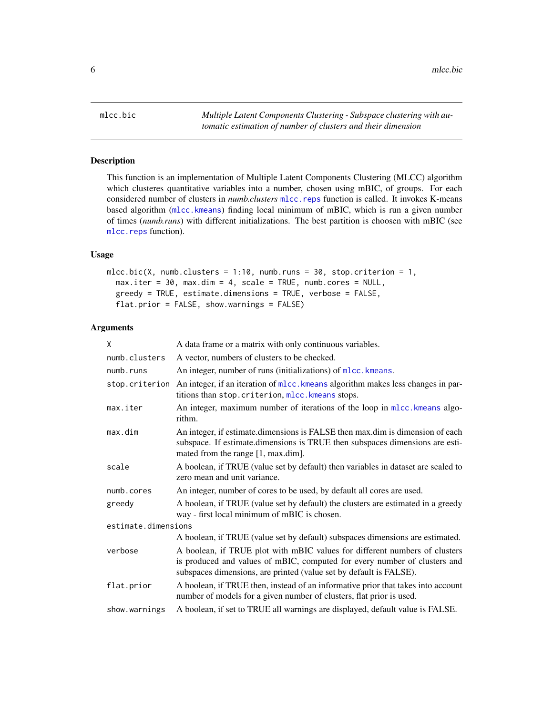<span id="page-5-1"></span><span id="page-5-0"></span>

#### Description

This function is an implementation of Multiple Latent Components Clustering (MLCC) algorithm which clusteres quantitative variables into a number, chosen using mBIC, of groups. For each considered number of clusters in *numb.clusters* [mlcc.reps](#page-7-1) function is called. It invokes K-means based algorithm ([mlcc.kmeans](#page-6-1)) finding local minimum of mBIC, which is run a given number of times (*numb.runs*) with different initializations. The best partition is choosen with mBIC (see [mlcc.reps](#page-7-1) function).

#### Usage

```
mlcc.bic(X, numb.clusters = 1:10, numb.runs = 30, stop.criterion = 1,
 max.iter = 30, max.dim = 4, scale = TRUE, numb.cores = NULL,
 greedy = TRUE, estimate.dimensions = TRUE, verbose = FALSE,
  flat.prior = FALSE, show.warnings = FALSE)
```
#### Arguments

| X                   | A data frame or a matrix with only continuous variables.                                                                                                                                                                      |
|---------------------|-------------------------------------------------------------------------------------------------------------------------------------------------------------------------------------------------------------------------------|
| numb.clusters       | A vector, numbers of clusters to be checked.                                                                                                                                                                                  |
| numb.runs           | An integer, number of runs (initializations) of mlcc. kmeans.                                                                                                                                                                 |
| stop.criterion      | An integer, if an iteration of mlcc. kmeans algorithm makes less changes in par-<br>titions than stop.criterion, mlcc.kmeans stops.                                                                                           |
| max.iter            | An integer, maximum number of iterations of the loop in mlcc. kmeans algo-<br>rithm.                                                                                                                                          |
| max.dim             | An integer, if estimate dimensions is FALSE then max dim is dimension of each<br>subspace. If estimate dimensions is TRUE then subspaces dimensions are esti-<br>mated from the range [1, max.dim].                           |
| scale               | A boolean, if TRUE (value set by default) then variables in dataset are scaled to<br>zero mean and unit variance.                                                                                                             |
| numb.cores          | An integer, number of cores to be used, by default all cores are used.                                                                                                                                                        |
| greedy              | A boolean, if TRUE (value set by default) the clusters are estimated in a greedy<br>way - first local minimum of mBIC is chosen.                                                                                              |
| estimate.dimensions |                                                                                                                                                                                                                               |
|                     | A boolean, if TRUE (value set by default) subspaces dimensions are estimated.                                                                                                                                                 |
| verbose             | A boolean, if TRUE plot with mBIC values for different numbers of clusters<br>is produced and values of mBIC, computed for every number of clusters and<br>subspaces dimensions, are printed (value set by default is FALSE). |
| flat.prior          | A boolean, if TRUE then, instead of an informative prior that takes into account<br>number of models for a given number of clusters, flat prior is used.                                                                      |
| show.warnings       | A boolean, if set to TRUE all warnings are displayed, default value is FALSE.                                                                                                                                                 |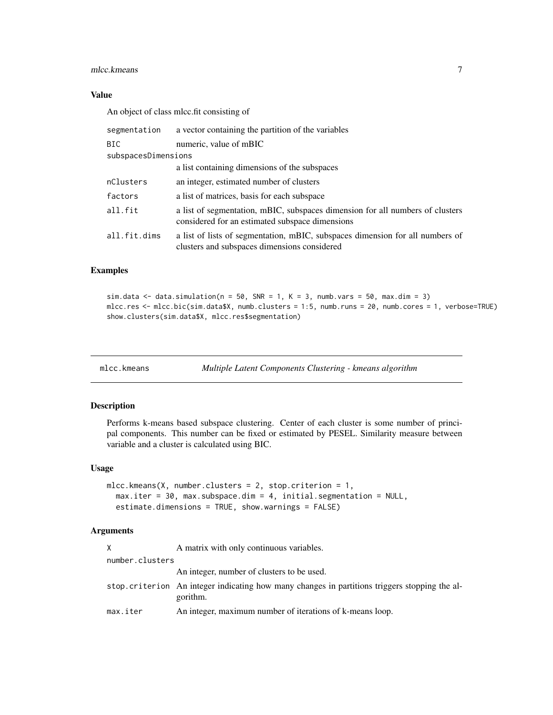#### <span id="page-6-0"></span>mlcc.kmeans 7

#### Value

An object of class mlcc.fit consisting of

| segmentation        | a vector containing the partition of the variables                                                                               |  |  |  |  |
|---------------------|----------------------------------------------------------------------------------------------------------------------------------|--|--|--|--|
| <b>BIC</b>          | numeric, value of mBIC                                                                                                           |  |  |  |  |
| subspacesDimensions |                                                                                                                                  |  |  |  |  |
|                     | a list containing dimensions of the subspaces                                                                                    |  |  |  |  |
| nClusters           | an integer, estimated number of clusters                                                                                         |  |  |  |  |
| factors             | a list of matrices, basis for each subspace                                                                                      |  |  |  |  |
| all.fit             | a list of segmentation, mBIC, subspaces dimension for all numbers of clusters<br>considered for an estimated subspace dimensions |  |  |  |  |
| all.fit.dims        | a list of lists of segmentation, mBIC, subspaces dimension for all numbers of<br>clusters and subspaces dimensions considered    |  |  |  |  |

#### Examples

sim.data  $\le$  data.simulation(n = 50, SNR = 1, K = 3, numb.vars = 50, max.dim = 3) mlcc.res <- mlcc.bic(sim.data\$X, numb.clusters = 1:5, numb.runs = 20, numb.cores = 1, verbose=TRUE) show.clusters(sim.data\$X, mlcc.res\$segmentation)

<span id="page-6-1"></span>mlcc.kmeans *Multiple Latent Components Clustering - kmeans algorithm*

#### Description

Performs k-means based subspace clustering. Center of each cluster is some number of principal components. This number can be fixed or estimated by PESEL. Similarity measure between variable and a cluster is calculated using BIC.

#### Usage

```
mlcc.kmeans(X, number.class = 2, stop.criterion = 1,max.iter = 30, max.subspace.dim = 4, initial.segmentation = NULL,
 estimate.dimensions = TRUE, show.warnings = FALSE)
```
#### Arguments

| X.              | A matrix with only continuous variables.                                                                  |
|-----------------|-----------------------------------------------------------------------------------------------------------|
| number.clusters |                                                                                                           |
|                 | An integer, number of clusters to be used.                                                                |
|                 | stop criterion An integer indicating how many changes in partitions triggers stopping the al-<br>gorithm. |
| max.iter        | An integer, maximum number of iterations of k-means loop.                                                 |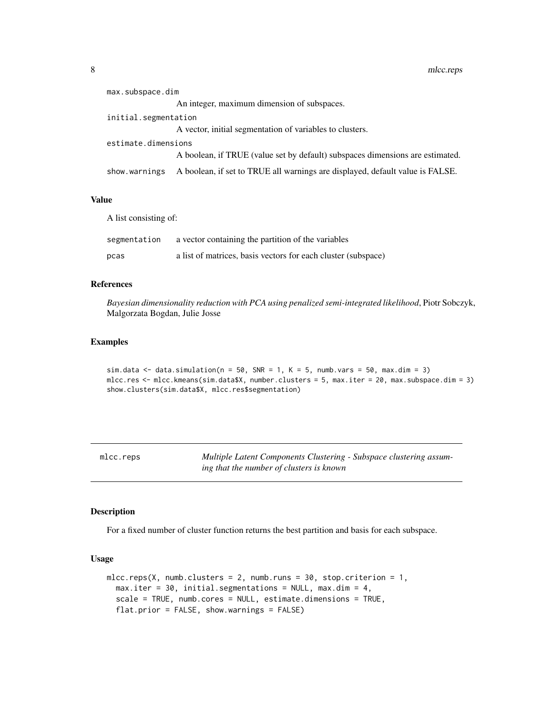<span id="page-7-0"></span>

| max.subspace.dim     |                                                                               |
|----------------------|-------------------------------------------------------------------------------|
|                      | An integer, maximum dimension of subspaces.                                   |
| initial.segmentation |                                                                               |
|                      | A vector, initial segmentation of variables to clusters.                      |
| estimate.dimensions  |                                                                               |
|                      | A boolean, if TRUE (value set by default) subspaces dimensions are estimated. |
| show.warnings        | A boolean, if set to TRUE all warnings are displayed, default value is FALSE. |

#### Value

A list consisting of:

| segmentation | a vector containing the partition of the variables            |
|--------------|---------------------------------------------------------------|
| pcas         | a list of matrices, basis vectors for each cluster (subspace) |

#### References

*Bayesian dimensionality reduction with PCA using penalized semi-integrated likelihood*, Piotr Sobczyk, Malgorzata Bogdan, Julie Josse

#### Examples

```
sim.data \le data.simulation(n = 50, SNR = 1, K = 5, numb.vars = 50, max.dim = 3)
mlcc.res <- mlcc.kmeans(sim.data$X, number.clusters = 5, max.iter = 20, max.subspace.dim = 3)
show.clusters(sim.data$X, mlcc.res$segmentation)
```
<span id="page-7-1"></span>mlcc.reps *Multiple Latent Components Clustering - Subspace clustering assuming that the number of clusters is known*

#### Description

For a fixed number of cluster function returns the best partition and basis for each subspace.

#### Usage

```
mlcc.reps(X, numb.clusters = 2, numb.runs = 30, stop.criterion = 1,
 max.iter = 30, initial.segmentations = NULL, max.dim = 4,
  scale = TRUE, numb.cores = NULL, estimate.dimensions = TRUE,
  flat.prior = FALSE, show.warnings = FALSE)
```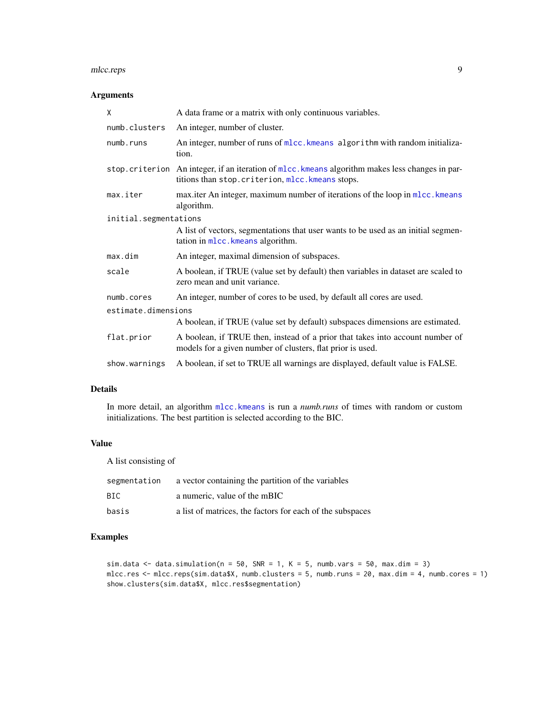#### <span id="page-8-0"></span>mlcc.reps 9

#### Arguments

| X                     | A data frame or a matrix with only continuous variables.                                                                                          |  |
|-----------------------|---------------------------------------------------------------------------------------------------------------------------------------------------|--|
| numb.clusters         | An integer, number of cluster.                                                                                                                    |  |
| numb.runs             | An integer, number of runs of mlcc. kmeans algorithm with random initializa-<br>tion.                                                             |  |
|                       | stop.criterion An integer, if an iteration of mlcc.kmeans algorithm makes less changes in par-<br>titions than stop.criterion, mlcc.kmeans stops. |  |
| max.iter              | max.iter An integer, maximum number of iterations of the loop in mlcc. kmeans<br>algorithm.                                                       |  |
| initial.segmentations |                                                                                                                                                   |  |
|                       | A list of vectors, segmentations that user wants to be used as an initial segmen-<br>tation in mlcc. kmeans algorithm.                            |  |
| max.dim               | An integer, maximal dimension of subspaces.                                                                                                       |  |
| scale                 | A boolean, if TRUE (value set by default) then variables in dataset are scaled to<br>zero mean and unit variance.                                 |  |
| numb.cores            | An integer, number of cores to be used, by default all cores are used.                                                                            |  |
| estimate.dimensions   |                                                                                                                                                   |  |
|                       | A boolean, if TRUE (value set by default) subspaces dimensions are estimated.                                                                     |  |
| flat.prior            | A boolean, if TRUE then, instead of a prior that takes into account number of<br>models for a given number of clusters, flat prior is used.       |  |
| show.warnings         | A boolean, if set to TRUE all warnings are displayed, default value is FALSE.                                                                     |  |

#### Details

In more detail, an algorithm [mlcc.kmeans](#page-6-1) is run a *numb.runs* of times with random or custom initializations. The best partition is selected according to the BIC.

#### Value

A list consisting of

| segmentation | a vector containing the partition of the variables        |
|--------------|-----------------------------------------------------------|
| BIC          | a numeric, value of the mBIC                              |
| basis        | a list of matrices, the factors for each of the subspaces |

```
sim.data \le data.simulation(n = 50, SNR = 1, K = 5, numb.vars = 50, max.dim = 3)
mlcc.res <- mlcc.reps(sim.data$X, numb.clusters = 5, numb.runs = 20, max.dim = 4, numb.cores = 1)
show.clusters(sim.data$X, mlcc.res$segmentation)
```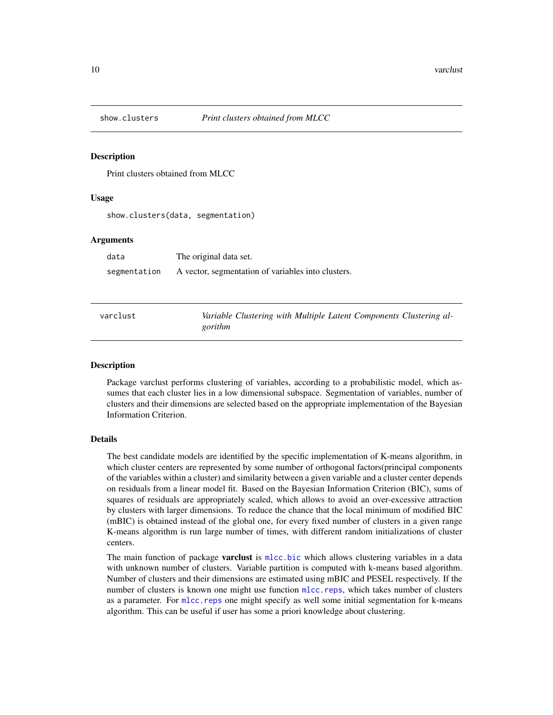<span id="page-9-0"></span>

#### Description

Print clusters obtained from MLCC

#### Usage

show.clusters(data, segmentation)

#### Arguments

| data         | The original data set.                             |
|--------------|----------------------------------------------------|
| segmentation | A vector, segmentation of variables into clusters. |

| varclust | Variable Clustering with Multiple Latent Components Clustering al- |
|----------|--------------------------------------------------------------------|
|          | gorithm                                                            |

#### Description

Package varclust performs clustering of variables, according to a probabilistic model, which assumes that each cluster lies in a low dimensional subspace. Segmentation of variables, number of clusters and their dimensions are selected based on the appropriate implementation of the Bayesian Information Criterion.

#### **Details**

The best candidate models are identified by the specific implementation of K-means algorithm, in which cluster centers are represented by some number of orthogonal factors(principal components of the variables within a cluster) and similarity between a given variable and a cluster center depends on residuals from a linear model fit. Based on the Bayesian Information Criterion (BIC), sums of squares of residuals are appropriately scaled, which allows to avoid an over-excessive attraction by clusters with larger dimensions. To reduce the chance that the local minimum of modified BIC (mBIC) is obtained instead of the global one, for every fixed number of clusters in a given range K-means algorithm is run large number of times, with different random initializations of cluster centers.

The main function of package **varclust** is  $m$ lcc.bic which allows clustering variables in a data with unknown number of clusters. Variable partition is computed with k-means based algorithm. Number of clusters and their dimensions are estimated using mBIC and PESEL respectively. If the number of clusters is known one might use function [mlcc.reps](#page-7-1), which takes number of clusters as a parameter. For [mlcc.reps](#page-7-1) one might specify as well some initial segmentation for k-means algorithm. This can be useful if user has some a priori knowledge about clustering.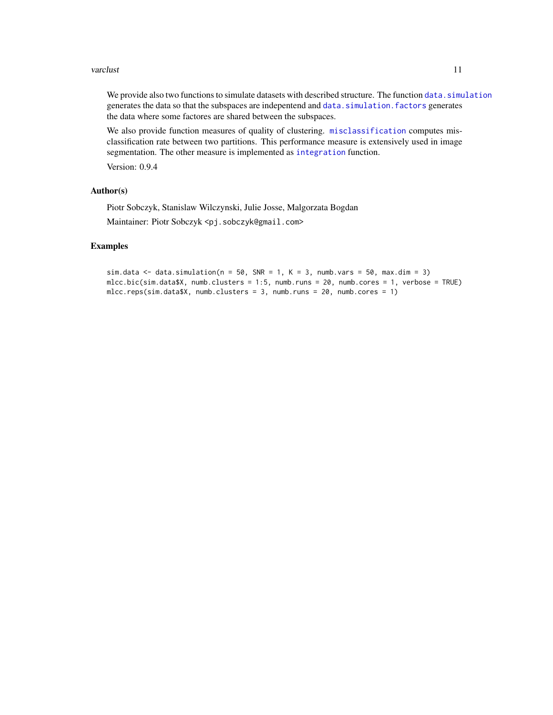#### <span id="page-10-0"></span>varclust 11

We provide also two functions to simulate datasets with described structure. The function [data.simulation](#page-1-1) generates the data so that the subspaces are indepentend and [data.simulation.factors](#page-2-1) generates the data where some factores are shared between the subspaces.

We also provide function measures of quality of clustering. [misclassification](#page-4-1) computes misclassification rate between two partitions. This performance measure is extensively used in image segmentation. The other measure is implemented as [integration](#page-3-1) function.

Version: 0.9.4

#### Author(s)

Piotr Sobczyk, Stanislaw Wilczynski, Julie Josse, Malgorzata Bogdan

Maintainer: Piotr Sobczyk <pj.sobczyk@gmail.com>

```
sim.data \le data.simulation(n = 50, SNR = 1, K = 3, numb.vars = 50, max.dim = 3)
mlcc.bic(sim.data$X, numb.clusters = 1:5, numb.runs = 20, numb.cores = 1, verbose = TRUE)
mlcc.reps(sim.data$X, numb.clusters = 3, numb.runs = 20, numb.cores = 1)
```